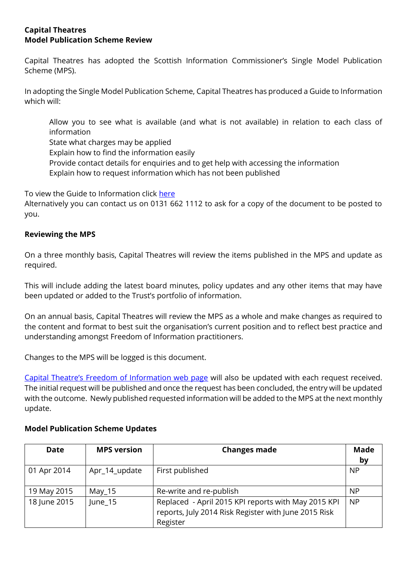### **Capital Theatres Model Publication Scheme Review**

Capital Theatres has adopted the Scottish Information Commissioner's Single Model Publication Scheme (MPS).

In adopting the Single Model Publication Scheme, Capital Theatres has produced a Guide to Information which will:

Allow you to see what is available (and what is not available) in relation to each class of information

State what charges may be applied

Explain how to find the information easily

- Provide contact details for enquiries and to get help with accessing the information
- Explain how to request information which has not been published

To view the Guide to Information click [here](https://www.capitaltheatres.com/media/2666/ct_guide_to_information_dec_18.pdf)

Alternatively you can contact us on 0131 662 1112 to ask for a copy of the document to be posted to you.

# **Reviewing the MPS**

On a three monthly basis, Capital Theatres will review the items published in the MPS and update as required.

This will include adding the latest board minutes, policy updates and any other items that may have been updated or added to the Trust's portfolio of information.

On an annual basis, Capital Theatres will review the MPS as a whole and make changes as required to the content and format to best suit the organisation's current position and to reflect best practice and understanding amongst Freedom of Information practitioners.

Changes to the MPS will be logged is this document.

Capital Theatre's [Freedom of Information web page](https://www.capitaltheatres.com/freedom-of-information) will also be updated with each request received. The initial request will be published and once the request has been concluded, the entry will be updated with the outcome. Newly published requested information will be added to the MPS at the next monthly update.

| <b>Date</b>  | <b>MPS version</b> | <b>Changes made</b>                                                                                                     | <b>Made</b><br>by |
|--------------|--------------------|-------------------------------------------------------------------------------------------------------------------------|-------------------|
| 01 Apr 2014  | Apr_14_update      | First published                                                                                                         | <b>NP</b>         |
| 19 May 2015  | May $_1$ 15        | Re-write and re-publish                                                                                                 | NP                |
| 18 June 2015 | June_15            | Replaced - April 2015 KPI reports with May 2015 KPI<br>reports, July 2014 Risk Register with June 2015 Risk<br>Register | <b>NP</b>         |

### **Model Publication Scheme Updates**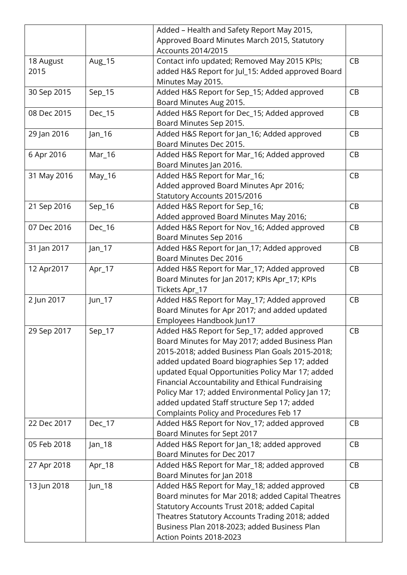|             |          | Added - Health and Safety Report May 2015,         |    |
|-------------|----------|----------------------------------------------------|----|
|             |          | Approved Board Minutes March 2015, Statutory       |    |
|             |          | Accounts 2014/2015                                 |    |
| 18 August   | Aug_15   | Contact info updated; Removed May 2015 KPIs;       | CB |
| 2015        |          | added H&S Report for Jul_15: Added approved Board  |    |
|             |          | Minutes May 2015.                                  |    |
| 30 Sep 2015 | $Sep_15$ | Added H&S Report for Sep_15; Added approved        | CB |
|             |          | Board Minutes Aug 2015.                            |    |
| 08 Dec 2015 | Dec_15   | Added H&S Report for Dec_15; Added approved        | CB |
|             |          | Board Minutes Sep 2015.                            |    |
|             |          |                                                    | CB |
| 29 Jan 2016 | Jan_16   | Added H&S Report for Jan_16; Added approved        |    |
|             |          | Board Minutes Dec 2015.                            |    |
| 6 Apr 2016  | Mar_16   | Added H&S Report for Mar_16; Added approved        | CB |
|             |          | Board Minutes Jan 2016.                            |    |
| 31 May 2016 | May_16   | Added H&S Report for Mar_16;                       | CB |
|             |          | Added approved Board Minutes Apr 2016;             |    |
|             |          | Statutory Accounts 2015/2016                       |    |
| 21 Sep 2016 | Sep_16   | Added H&S Report for Sep_16;                       | CB |
|             |          | Added approved Board Minutes May 2016;             |    |
| 07 Dec 2016 | Dec_16   | Added H&S Report for Nov_16; Added approved        | CB |
|             |          | Board Minutes Sep 2016                             |    |
| 31 Jan 2017 | $Jan_17$ | Added H&S Report for Jan_17; Added approved        | CB |
|             |          | Board Minutes Dec 2016                             |    |
| 12 Apr2017  | Apr_17   | Added H&S Report for Mar_17; Added approved        | CB |
|             |          | Board Minutes for Jan 2017; KPIs Apr_17; KPIs      |    |
|             |          | Tickets Apr_17                                     |    |
| 2 Jun 2017  | $Jun_17$ | Added H&S Report for May_17; Added approved        | CB |
|             |          | Board Minutes for Apr 2017; and added updated      |    |
|             |          | Employees Handbook Jun17                           |    |
| 29 Sep 2017 | $Sep_17$ | Added H&S Report for Sep_17; added approved        | CB |
|             |          | Board Minutes for May 2017; added Business Plan    |    |
|             |          | 2015-2018; added Business Plan Goals 2015-2018;    |    |
|             |          | added updated Board biographies Sep 17; added      |    |
|             |          | updated Equal Opportunities Policy Mar 17; added   |    |
|             |          | Financial Accountability and Ethical Fundraising   |    |
|             |          | Policy Mar 17; added Environmental Policy Jan 17;  |    |
|             |          | added updated Staff structure Sep 17; added        |    |
|             |          | Complaints Policy and Procedures Feb 17            |    |
|             |          |                                                    | CB |
| 22 Dec 2017 | Dec_17   | Added H&S Report for Nov_17; added approved        |    |
|             |          | Board Minutes for Sept 2017                        |    |
| 05 Feb 2018 | Jan_18   | Added H&S Report for Jan_18; added approved        | CB |
|             |          | Board Minutes for Dec 2017                         |    |
| 27 Apr 2018 | Apr_18   | Added H&S Report for Mar_18; added approved        | CB |
|             |          | Board Minutes for Jan 2018                         |    |
| 13 Jun 2018 | Jun_18   | Added H&S Report for May_18; added approved        | CB |
|             |          | Board minutes for Mar 2018; added Capital Theatres |    |
|             |          | Statutory Accounts Trust 2018; added Capital       |    |
|             |          | Theatres Statutory Accounts Trading 2018; added    |    |
|             |          | Business Plan 2018-2023; added Business Plan       |    |
|             |          | Action Points 2018-2023                            |    |